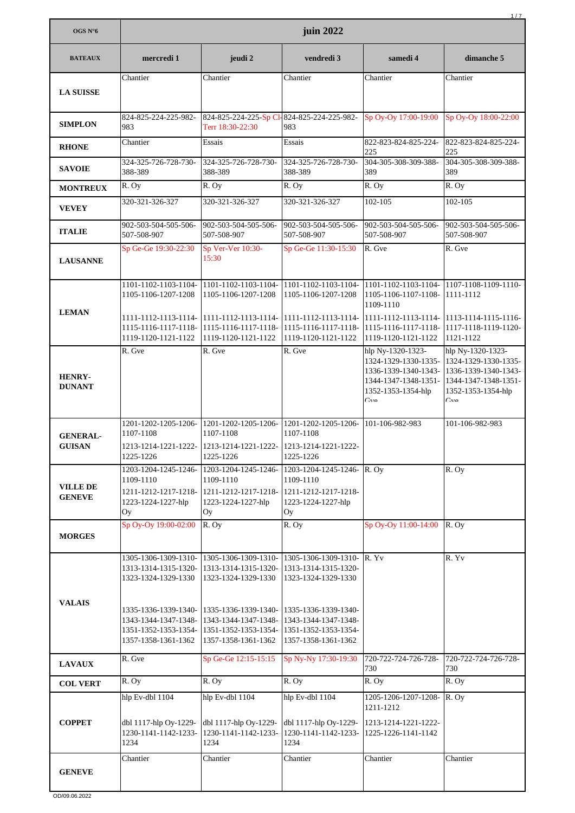| OGS N°6                          | 1/7<br>juin 2022                                                                                   |                                                                                                                                                                                                                                                        |                                                                                                                                                 |                                                                                                                                 |                                                                                                                                    |  |
|----------------------------------|----------------------------------------------------------------------------------------------------|--------------------------------------------------------------------------------------------------------------------------------------------------------------------------------------------------------------------------------------------------------|-------------------------------------------------------------------------------------------------------------------------------------------------|---------------------------------------------------------------------------------------------------------------------------------|------------------------------------------------------------------------------------------------------------------------------------|--|
| <b>BATEAUX</b>                   | mercredi 1                                                                                         | jeudi 2                                                                                                                                                                                                                                                | vendredi 3                                                                                                                                      | samedi 4                                                                                                                        | dimanche 5                                                                                                                         |  |
| <b>LA SUISSE</b>                 | Chantier                                                                                           | Chantier                                                                                                                                                                                                                                               | Chantier                                                                                                                                        | Chantier                                                                                                                        | Chantier                                                                                                                           |  |
| <b>SIMPLON</b>                   | 824-825-224-225-982-<br>983                                                                        | 824-825-224-225-Sp Cl-824-825-224-225-982-<br>Terr 18:30-22:30                                                                                                                                                                                         | 983                                                                                                                                             | Sp Oy-Oy 17:00-19:00                                                                                                            | Sp Oy-Oy 18:00-22:00                                                                                                               |  |
| <b>RHONE</b>                     | Chantier                                                                                           | Essais                                                                                                                                                                                                                                                 | Essais                                                                                                                                          | 822-823-824-825-224-<br>225                                                                                                     | 822-823-824-825-224-<br>225                                                                                                        |  |
| <b>SAVOIE</b>                    | 324-325-726-728-730-<br>388-389                                                                    | 324-325-726-728-730-<br>388-389                                                                                                                                                                                                                        | 324-325-726-728-730-<br>388-389                                                                                                                 | 304-305-308-309-388-<br>389                                                                                                     | 304-305-308-309-388-<br>389                                                                                                        |  |
| <b>MONTREUX</b>                  | R. Oy                                                                                              | R. Oy                                                                                                                                                                                                                                                  | R. Oy                                                                                                                                           | R. Oy                                                                                                                           | R. Oy                                                                                                                              |  |
| <b>VEVEY</b>                     | 320-321-326-327                                                                                    | 320-321-326-327                                                                                                                                                                                                                                        | 320-321-326-327                                                                                                                                 | 102-105                                                                                                                         | 102-105                                                                                                                            |  |
| <b>ITALIE</b>                    | 902-503-504-505-506-<br>507-508-907                                                                | 902-503-504-505-506-<br>507-508-907                                                                                                                                                                                                                    | 902-503-504-505-506-<br>507-508-907                                                                                                             | 902-503-504-505-506-<br>507-508-907                                                                                             | 902-503-504-505-506-<br>507-508-907                                                                                                |  |
| <b>LAUSANNE</b>                  | Sp Ge-Ge 19:30-22:30                                                                               | Sp Ver-Ver 10:30-<br>15:30                                                                                                                                                                                                                             | Sp Ge-Ge 11:30-15:30                                                                                                                            | R. Gve                                                                                                                          | R. Gve                                                                                                                             |  |
|                                  | 1101-1102-1103-1104-<br>1105-1106-1207-1208                                                        | 1101-1102-1103-1104-<br>1105-1106-1207-1208                                                                                                                                                                                                            | 1101-1102-1103-1104-<br>1105-1106-1207-1208                                                                                                     | 1101-1102-1103-1104-<br>1105-1106-1107-1108-<br>1109-1110                                                                       | 1107-1108-1109-1110-<br>1111-1112                                                                                                  |  |
| <b>LEMAN</b>                     | 1111-1112-1113-1114-<br>1115-1116-1117-1118-<br>1119-1120-1121-1122                                | $1111 - 1112 - 1113 - 1114$<br>1115-1116-1117-1118-<br>1119-1120-1121-1122                                                                                                                                                                             | 1111-1112-1113-1114-<br>1115-1116-1117-1118-<br>1119-1120-1121-1122                                                                             | 1111-1112-1113-1114-<br>1115-1116-1117-1118-<br>1119-1120-1121-1122                                                             | 1113-1114-1115-1116-<br>1117-1118-1119-1120-<br>1121-1122                                                                          |  |
| <b>HENRY-</b><br><b>DUNANT</b>   | R. Gve                                                                                             | R. Gve                                                                                                                                                                                                                                                 | R. Gve                                                                                                                                          | hlp Ny-1320-1323-<br>1324-1329-1330-1335-<br>1336-1339-1340-1343-<br>1344-1347-1348-1351-<br>1352-1353-1354-hlp<br>$C_{\rm{V}}$ | hlp Ny-1320-1323-<br>1324-1329-1330-1335-<br>1336-1339-1340-1343-<br>1344-1347-1348-1351-<br>1352-1353-1354-hlp<br>$C_{\text{VQ}}$ |  |
| <b>GENERAL-</b><br><b>GUISAN</b> | 1201-1202-1205-1206-<br>1107-1108                                                                  | 1201-1202-1205-1206-<br>1107-1108<br>1213-1214-1221-1222- 1213-1214-1221-1222- 1213-1214-1221-1222-                                                                                                                                                    | 1201-1202-1205-1206-<br>1107-1108                                                                                                               | 101-106-982-983                                                                                                                 | 101-106-982-983                                                                                                                    |  |
| <b>VILLE DE</b><br><b>GENEVE</b> | 1225-1226<br>1203-1204-1245-1246-<br>1109-1110<br>1211-1212-1217-1218-<br>1223-1224-1227-hlp<br>Oy | 1225-1226<br>1203-1204-1245-1246-<br>1109-1110<br>1211-1212-1217-1218-<br>1223-1224-1227-hlp<br>Oy                                                                                                                                                     | 1225-1226<br>1203-1204-1245-1246- R. Oy<br>1109-1110<br>1211-1212-1217-1218-<br>1223-1224-1227-hlp<br>Оy                                        |                                                                                                                                 | R. Oy                                                                                                                              |  |
| <b>MORGES</b>                    | Sp Oy-Oy 19:00-02:00                                                                               | R. Oy                                                                                                                                                                                                                                                  | R. Oy                                                                                                                                           | Sp Oy-Oy 11:00-14:00                                                                                                            | R. Ov                                                                                                                              |  |
| <b>VALAIS</b>                    | 1305-1306-1309-1310-<br>1313-1314-1315-1320-<br>1323-1324-1329-1330<br>1357-1358-1361-1362         | 1305-1306-1309-1310-<br>1313-1314-1315-1320-<br>1323-1324-1329-1330<br>1335-1336-1339-1340- 1335-1336-1339-1340- 1335-1336-1339-1340-<br>1343-1344-1347-1348- 1343-1344-1347-1348-<br>1351-1352-1353-1354- 1351-1352-1353-1354-<br>1357-1358-1361-1362 | 1305-1306-1309-1310- R.Yv<br>1313-1314-1315-1320-<br>1323-1324-1329-1330<br>1343-1344-1347-1348-<br>1351-1352-1353-1354-<br>1357-1358-1361-1362 |                                                                                                                                 | R. Yv                                                                                                                              |  |
| <b>LAVAUX</b>                    | R. Gve                                                                                             | Sp Ge-Ge 12:15-15:15                                                                                                                                                                                                                                   | Sp Ny-Ny 17:30-19:30                                                                                                                            | 720-722-724-726-728-<br>730                                                                                                     | 720-722-724-726-728-<br>730                                                                                                        |  |
| <b>COL VERT</b>                  | R. Oy                                                                                              | R. Oy                                                                                                                                                                                                                                                  | R. Oy                                                                                                                                           | R. Oy                                                                                                                           | R. Oy                                                                                                                              |  |
| <b>COPPET</b>                    | hlp Ev-dbl 1104<br>dbl 1117-hlp Oy-1229-<br>1230-1141-1142-1233-<br>1234                           | hlp Ev-dbl 1104<br>dbl 1117-hlp Oy-1229-<br>1230-1141-1142-1233-<br>1234                                                                                                                                                                               | hlp Ev-dbl 1104<br>dbl 1117-hlp Oy-1229-<br>1230-1141-1142-1233-<br>1234                                                                        | 1205-1206-1207-1208-<br>1211-1212<br>1213-1214-1221-1222-<br>1225-1226-1141-1142                                                | R. Oy                                                                                                                              |  |
| <b>GENEVE</b>                    | Chantier                                                                                           | Chantier                                                                                                                                                                                                                                               | Chantier                                                                                                                                        | Chantier                                                                                                                        | Chantier                                                                                                                           |  |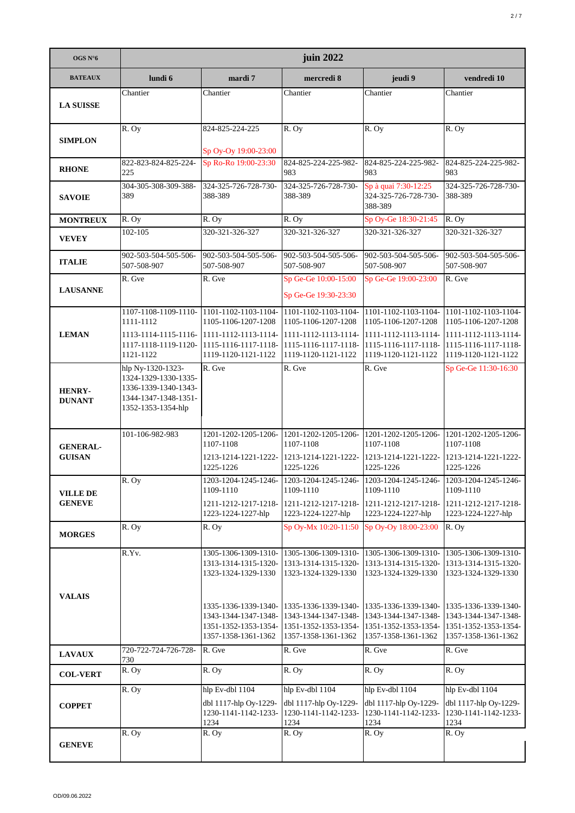| OGS N°6                          | juin 2022                                                                                                       |                                                                                             |                                                                                             |                                                                                                                                                            |                                                                                             |  |
|----------------------------------|-----------------------------------------------------------------------------------------------------------------|---------------------------------------------------------------------------------------------|---------------------------------------------------------------------------------------------|------------------------------------------------------------------------------------------------------------------------------------------------------------|---------------------------------------------------------------------------------------------|--|
| <b>BATEAUX</b>                   | lundi 6                                                                                                         | mardi 7                                                                                     | mercredi 8                                                                                  | jeudi 9                                                                                                                                                    | vendredi 10                                                                                 |  |
| <b>LA SUISSE</b>                 | Chantier                                                                                                        | Chantier                                                                                    | Chantier                                                                                    | Chantier                                                                                                                                                   | Chantier                                                                                    |  |
| <b>SIMPLON</b>                   | R. Oy                                                                                                           | 824-825-224-225<br>Sp Oy-Oy 19:00-23:00                                                     | R. Oy                                                                                       | R. Oy                                                                                                                                                      | R. Oy                                                                                       |  |
| <b>RHONE</b>                     | 822-823-824-825-224-<br>225                                                                                     | Sp Ro-Ro 19:00-23:30                                                                        | 824-825-224-225-982-<br>983                                                                 | 824-825-224-225-982-<br>983                                                                                                                                | 824-825-224-225-982-<br>983                                                                 |  |
| <b>SAVOIE</b>                    | 304-305-308-309-388-<br>389                                                                                     | 324-325-726-728-730-<br>388-389                                                             | 324-325-726-728-730-<br>388-389                                                             | Sp à quai 7:30-12:25<br>324-325-726-728-730-<br>388-389                                                                                                    | 324-325-726-728-730-<br>388-389                                                             |  |
| <b>MONTREUX</b>                  | R. Oy                                                                                                           | R. Oy                                                                                       | R. Oy                                                                                       | Sp Oy-Ge 18:30-21:45                                                                                                                                       | R. Oy                                                                                       |  |
| <b>VEVEY</b>                     | 102-105                                                                                                         | 320-321-326-327                                                                             | 320-321-326-327                                                                             | 320-321-326-327                                                                                                                                            | 320-321-326-327                                                                             |  |
| <b>ITALIE</b>                    | 902-503-504-505-506-<br>507-508-907                                                                             | 902-503-504-505-506-<br>507-508-907                                                         | 902-503-504-505-506-<br>507-508-907                                                         | 902-503-504-505-506-<br>507-508-907                                                                                                                        | 902-503-504-505-506-<br>507-508-907                                                         |  |
| <b>LAUSANNE</b>                  | R. Gve                                                                                                          | R. Gve                                                                                      | Sp Ge-Ge 10:00-15:00                                                                        | Sp Ge-Ge 19:00-23:00                                                                                                                                       | R. Gve                                                                                      |  |
|                                  |                                                                                                                 |                                                                                             | Sp Ge-Ge 19:30-23:30                                                                        |                                                                                                                                                            |                                                                                             |  |
|                                  | 1107-1108-1109-1110-<br>1111-1112                                                                               | 1101-1102-1103-1104-<br>1105-1106-1207-1208                                                 | 1101-1102-1103-1104-<br>1105-1106-1207-1208                                                 | 1105-1106-1207-1208                                                                                                                                        | 1101-1102-1103-1104- 1101-1102-1103-1104-<br>1105-1106-1207-1208                            |  |
| <b>LEMAN</b>                     | 1113-1114-1115-1116- 11111-1112-1113-1114-<br>1117-1118-1119-1120-<br>1121-1122                                 | 1115-1116-1117-1118-<br>1119-1120-1121-1122                                                 | 1111-1112-1113-1114-<br>1115-1116-1117-1118-<br>1119-1120-1121-1122                         | 1111-1112-1113-1114-<br>1115-1116-1117-1118-<br>1119-1120-1121-1122                                                                                        | 1111-1112-1113-1114-<br>1115-1116-1117-1118-<br>1119-1120-1121-1122                         |  |
| <b>HENRY-</b><br><b>DUNANT</b>   | hlp Ny-1320-1323-<br>1324-1329-1330-1335-<br>1336-1339-1340-1343-<br>1344-1347-1348-1351-<br>1352-1353-1354-hlp | R. Gve                                                                                      | R. Gve                                                                                      | R. Gve                                                                                                                                                     | Sp Ge-Ge 11:30-16:30                                                                        |  |
| <b>GENERAL-</b><br><b>GUISAN</b> | 101-106-982-983                                                                                                 | 1201-1202-1205-1206-<br>1107-1108<br>1213-1214-1221-1222-<br>1225-1226                      | 1107-1108<br>1225-1226                                                                      | 1201-1202-1205-1206- 1201-1202-1205-1206- 1201-1202-1205-1206-<br>1107-1108<br>1213-1214-1221-1222- 1213-1214-1221-1222- 1213-1214-1221-1222-<br>1225-1226 | 1107-1108<br>1225-1226                                                                      |  |
| <b>VILLE DE</b><br><b>GENEVE</b> | R. Oy                                                                                                           | 1203-1204-1245-1246-<br>1109-1110<br>1211-1212-1217-1218-                                   | 1109-1110<br>1211-1212-1217-1218-                                                           | 1203-1204-1245-1246- 1203-1204-1245-1246- 1203-1204-1245-1246-<br>1109-1110<br>1211-1212-1217-1218-                                                        | 1109-1110<br>1211-1212-1217-1218-                                                           |  |
| <b>MORGES</b>                    | R. Oy                                                                                                           | 1223-1224-1227-hlp<br>R. Oy                                                                 | 1223-1224-1227-hlp<br>Sp Oy-Mx 10:20-11:50                                                  | 1223-1224-1227-hlp<br>Sp Oy-Oy 18:00-23:00                                                                                                                 | 1223-1224-1227-hlp<br>R. Oy                                                                 |  |
| <b>VALAIS</b>                    | R.Yv.                                                                                                           | 1305-1306-1309-1310-<br>1313-1314-1315-1320-<br>1323-1324-1329-1330                         | 1305-1306-1309-1310-<br>1313-1314-1315-1320-<br>1323-1324-1329-1330                         | 1305-1306-1309-1310-<br>1313-1314-1315-1320-<br>1323-1324-1329-1330                                                                                        | 1305-1306-1309-1310-<br>1313-1314-1315-1320-<br>1323-1324-1329-1330                         |  |
|                                  |                                                                                                                 | 1335-1336-1339-1340-<br>1343-1344-1347-1348-<br>1351-1352-1353-1354-<br>1357-1358-1361-1362 | 1335-1336-1339-1340-<br>1343-1344-1347-1348-<br>1351-1352-1353-1354-<br>1357-1358-1361-1362 | 1335-1336-1339-1340-<br>1343-1344-1347-1348-<br>1351-1352-1353-1354-<br>1357-1358-1361-1362                                                                | 1335-1336-1339-1340-<br>1343-1344-1347-1348-<br>1351-1352-1353-1354-<br>1357-1358-1361-1362 |  |
| <b>LAVAUX</b>                    | 720-722-724-726-728-<br>730                                                                                     | R. Gve                                                                                      | R. Gve                                                                                      | R. Gve                                                                                                                                                     | R. Gve                                                                                      |  |
| <b>COL-VERT</b>                  | R. Oy                                                                                                           | R. Oy                                                                                       | R. Oy                                                                                       | R. Oy                                                                                                                                                      | R. Oy                                                                                       |  |
| <b>COPPET</b>                    | R. Oy                                                                                                           | hlp Ev-dbl 1104<br>dbl 1117-hlp Oy-1229-<br>1230-1141-1142-1233-<br>1234                    | hlp Ev-dbl 1104<br>dbl 1117-hlp Oy-1229-<br>1230-1141-1142-1233-<br>1234                    | hlp Ev-dbl 1104<br>dbl 1117-hlp Oy-1229-<br>1230-1141-1142-1233-<br>1234                                                                                   | hlp Ev-dbl 1104<br>dbl 1117-hlp Oy-1229-<br>1230-1141-1142-1233-<br>1234                    |  |
| <b>GENEVE</b>                    | R. Oy                                                                                                           | R. Oy                                                                                       | R. Oy                                                                                       | R. Oy                                                                                                                                                      | R. Oy                                                                                       |  |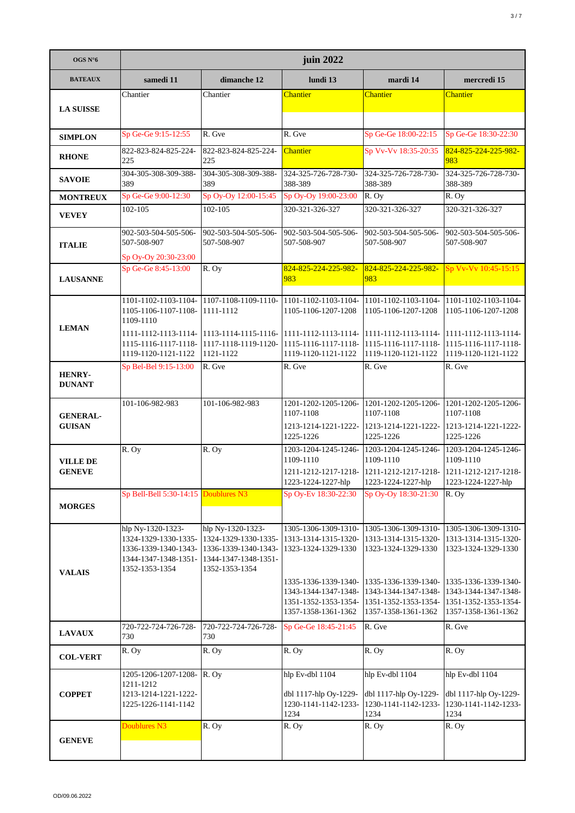| OGS $N^{\circ}6$                 | juin 2022                                                                           |                                                                                                                                  |                                                                                                                                             |                                                                                                                                                                                       |                                                                                                                   |  |
|----------------------------------|-------------------------------------------------------------------------------------|----------------------------------------------------------------------------------------------------------------------------------|---------------------------------------------------------------------------------------------------------------------------------------------|---------------------------------------------------------------------------------------------------------------------------------------------------------------------------------------|-------------------------------------------------------------------------------------------------------------------|--|
| <b>BATEAUX</b>                   | samedi 11                                                                           | dimanche 12                                                                                                                      | lundi 13                                                                                                                                    | mardi 14                                                                                                                                                                              | mercredi 15                                                                                                       |  |
|                                  | Chantier                                                                            | Chantier                                                                                                                         | Chantier                                                                                                                                    | <b>Chantier</b>                                                                                                                                                                       | Chantier                                                                                                          |  |
| <b>LA SUISSE</b>                 |                                                                                     |                                                                                                                                  |                                                                                                                                             |                                                                                                                                                                                       |                                                                                                                   |  |
| <b>SIMPLON</b>                   | Sp Ge-Ge 9:15-12:55                                                                 | R. Gve                                                                                                                           | R. Gve                                                                                                                                      | Sp Ge-Ge 18:00-22:15                                                                                                                                                                  | Sp Ge-Ge 18:30-22:30                                                                                              |  |
| <b>RHONE</b>                     | 822-823-824-825-224-<br>225                                                         | 822-823-824-825-224-<br>225                                                                                                      | Chantier                                                                                                                                    | Sp Vv-Vv 18:35-20:35                                                                                                                                                                  | 824-825-224-225-982-<br>983                                                                                       |  |
| <b>SAVOIE</b>                    | 304-305-308-309-388-<br>389                                                         | 304-305-308-309-388-<br>389                                                                                                      | 324-325-726-728-730-<br>388-389                                                                                                             | 324-325-726-728-730-<br>388-389                                                                                                                                                       | 324-325-726-728-730-<br>388-389                                                                                   |  |
| <b>MONTREUX</b>                  | Sp Ge-Ge 9:00-12:30                                                                 | Sp Oy-Oy 12:00-15:45                                                                                                             | Sp Oy-Oy 19:00-23:00                                                                                                                        | R. Oy                                                                                                                                                                                 | R. Oy                                                                                                             |  |
| <b>VEVEY</b>                     | 102-105                                                                             | $102 - 105$                                                                                                                      | 320-321-326-327                                                                                                                             | 320-321-326-327                                                                                                                                                                       | 320-321-326-327                                                                                                   |  |
| <b>ITALIE</b>                    | 902-503-504-505-506-<br>507-508-907<br>Sp Oy-Oy 20:30-23:00                         | 902-503-504-505-506-<br>507-508-907                                                                                              | 902-503-504-505-506-<br>507-508-907                                                                                                         | 902-503-504-505-506-<br>507-508-907                                                                                                                                                   | 902-503-504-505-506-<br>507-508-907                                                                               |  |
| <b>LAUSANNE</b>                  | Sp Ge-Ge 8:45-13:00                                                                 | R. Oy                                                                                                                            | 824-825-224-225-982-<br>983                                                                                                                 | 824-825-224-225-982-<br>983                                                                                                                                                           | Sp Vv-Vv 10:45-15:15                                                                                              |  |
| <b>LEMAN</b>                     | 1101-1102-1103-1104-<br>1105-1106-1107-1108-<br>1109-1110                           | 1107-1108-1109-1110-<br>1111-1112                                                                                                | 1101-1102-1103-1104-<br>1105-1106-1207-1208                                                                                                 | 1101-1102-1103-1104-<br>1105-1106-1207-1208                                                                                                                                           | 1101-1102-1103-1104-<br>1105-1106-1207-1208                                                                       |  |
|                                  | 1111-1112-1113-1114-<br>1115-1116-1117-1118-<br>1119-1120-1121-1122                 | $1113 - 1114 - 1115 - 1116$<br>1117-1118-1119-1120-<br>1121-1122                                                                 | $1111 - 1112 - 1113 - 1114$<br>1115-1116-1117-1118-<br>1119-1120-1121-1122                                                                  | 1111-1112-1113-1114-<br>1115-1116-1117-1118-<br>1119-1120-1121-1122                                                                                                                   | 1111-1112-1113-1114-<br>1115-1116-1117-1118-<br>1119-1120-1121-1122                                               |  |
| <b>HENRY-</b><br><b>DUNANT</b>   | Sp Bel-Bel 9:15-13:00                                                               | R. Gve                                                                                                                           | R. Gve                                                                                                                                      | R. Gve                                                                                                                                                                                | R. Gve                                                                                                            |  |
| <b>GENERAL-</b><br><b>GUISAN</b> | 101-106-982-983                                                                     | 101-106-982-983                                                                                                                  | 1107-1108<br>1213-1214-1221-1222-                                                                                                           | 1201-1202-1205-1206- 1201-1202-1205-1206- 1201-1202-1205-1206-<br>1107-1108<br>1213-1214-1221-1222-                                                                                   | 1107-1108<br>1213-1214-1221-1222-                                                                                 |  |
| <b>VILLE DE</b><br><b>GENEVE</b> | R. Oy                                                                               | R. Oy                                                                                                                            | 1225-1226<br>1203-1204-1245-1246-<br>1109-1110<br>1211-1212-1217-1218-<br>1223-1224-1227-hlp                                                | 1225-1226<br>1203-1204-1245-1246-<br>1109-1110<br>1223-1224-1227-hlp                                                                                                                  | 1225-1226<br>1203-1204-1245-1246-<br>1109-1110<br>1211-1212-1217-1218- 1211-1212-1217-1218-<br>1223-1224-1227-hlp |  |
| <b>MORGES</b>                    | Sp Bell-Bell 5:30-14:15 Doublures N3                                                |                                                                                                                                  | Sp Oy-Ev 18:30-22:30                                                                                                                        | Sp Oy-Oy 18:30-21:30                                                                                                                                                                  | R. Ov                                                                                                             |  |
| <b>VALAIS</b>                    | hlp Ny-1320-1323-<br>1324-1329-1330-1335-<br>1336-1339-1340-1343-<br>1352-1353-1354 | hlp Ny-1320-1323-<br>1324-1329-1330-1335-<br>1336-1339-1340-1343-<br>1344-1347-1348-1351- 1344-1347-1348-1351-<br>1352-1353-1354 | 1305-1306-1309-1310-<br>1313-1314-1315-1320-<br>1323-1324-1329-1330<br>1335-1336-1339-1340-<br>1343-1344-1347-1348-<br>1351-1352-1353-1354- | 1305-1306-1309-1310- 1305-1306-1309-1310-<br>1313-1314-1315-1320-<br>1323-1324-1329-1330<br>1335-1336-1339-1340- 1335-1336-1339-1340-<br>1343-1344-1347-1348-<br>1351-1352-1353-1354- | 1313-1314-1315-1320-<br>1323-1324-1329-1330<br>1343-1344-1347-1348-<br>1351-1352-1353-1354-                       |  |
|                                  | 720-722-724-726-728-                                                                | 720-722-724-726-728-                                                                                                             | 1357-1358-1361-1362<br>Sp Ge-Ge 18:45-21:45                                                                                                 | 1357-1358-1361-1362<br>R. Gve                                                                                                                                                         | 1357-1358-1361-1362<br>R. Gve                                                                                     |  |
| <b>LAVAUX</b>                    | 730                                                                                 | 730                                                                                                                              |                                                                                                                                             |                                                                                                                                                                                       |                                                                                                                   |  |
| <b>COL-VERT</b>                  | R. Oy                                                                               | R. Oy                                                                                                                            | R. Oy                                                                                                                                       | R. Oy                                                                                                                                                                                 | R. Oy                                                                                                             |  |
| <b>COPPET</b>                    | 1205-1206-1207-1208-<br>1211-1212<br>1213-1214-1221-1222-<br>1225-1226-1141-1142    | R. Oy                                                                                                                            | hlp Ev-dbl 1104<br>dbl 1117-hlp Oy-1229-<br>1230-1141-1142-1233-<br>1234                                                                    | hlp Ev-dbl 1104<br>dbl 1117-hlp Oy-1229-<br>1230-1141-1142-1233-<br>1234                                                                                                              | hlp Ev-dbl 1104<br>dbl 1117-hlp Oy-1229-<br>1230-1141-1142-1233-<br>1234                                          |  |
| <b>GENEVE</b>                    | <b>Doublures N3</b>                                                                 | R. Oy                                                                                                                            | R. Oy                                                                                                                                       | R. Oy                                                                                                                                                                                 | R. Oy                                                                                                             |  |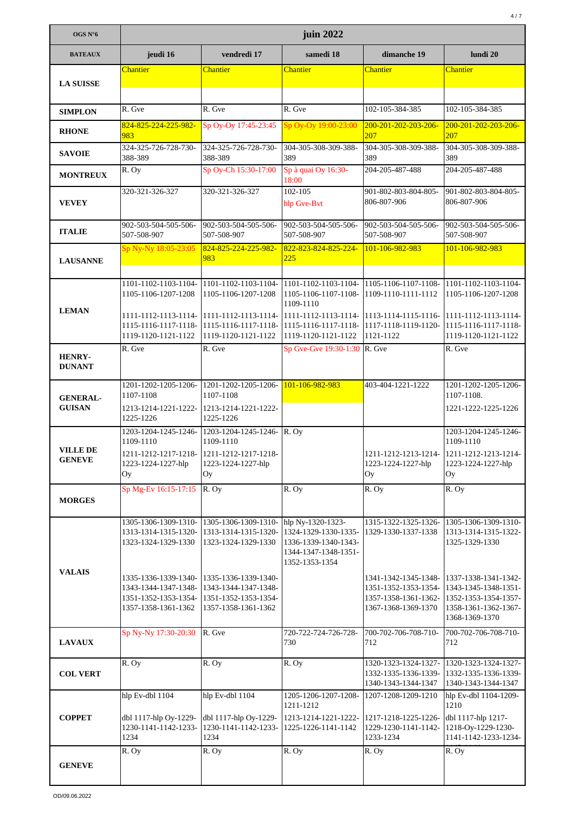| OGS N°6                          | juin 2022                                                                                   |                                                                                             |                                                                                        |                                                                                                                  |                                                                                        |  |
|----------------------------------|---------------------------------------------------------------------------------------------|---------------------------------------------------------------------------------------------|----------------------------------------------------------------------------------------|------------------------------------------------------------------------------------------------------------------|----------------------------------------------------------------------------------------|--|
| <b>BATEAUX</b>                   | jeudi 16                                                                                    | vendredi 17                                                                                 | samedi 18                                                                              | dimanche 19                                                                                                      | lundi 20                                                                               |  |
|                                  | Chantier                                                                                    | <b>Chantier</b>                                                                             | <b>Chantier</b>                                                                        | <b>Chantier</b>                                                                                                  | Chantier                                                                               |  |
| <b>LA SUISSE</b>                 |                                                                                             |                                                                                             |                                                                                        |                                                                                                                  |                                                                                        |  |
| <b>SIMPLON</b>                   | R. Gve                                                                                      | R. Gve                                                                                      | R. Gve                                                                                 | 102-105-384-385                                                                                                  | 102-105-384-385                                                                        |  |
| <b>RHONE</b>                     | 824-825-224-225-982-                                                                        | Sp Oy-Oy 17:45-23:45                                                                        | Sp Oy-Oy 19:00-23:00                                                                   | 200-201-202-203-206-                                                                                             | 200-201-202-203-206-                                                                   |  |
|                                  | 983<br>324-325-726-728-730-                                                                 | 324-325-726-728-730-                                                                        | 304-305-308-309-388-                                                                   | 207<br>304-305-308-309-388-                                                                                      | 207<br>304-305-308-309-388-                                                            |  |
| <b>SAVOIE</b>                    | 388-389<br>R. Oy                                                                            | 388-389<br>Sp Oy-Ch 15:30-17:00                                                             | 389<br>Sp à quai Oy 16:30-                                                             | 389<br>204-205-487-488                                                                                           | 389<br>204-205-487-488                                                                 |  |
| <b>MONTREUX</b>                  |                                                                                             |                                                                                             | 18:00                                                                                  |                                                                                                                  |                                                                                        |  |
| <b>VEVEY</b>                     | 320-321-326-327                                                                             | 320-321-326-327                                                                             | 102-105<br>hlp Gve-Bvt                                                                 | 901-802-803-804-805-<br>806-807-906                                                                              | 901-802-803-804-805-<br>806-807-906                                                    |  |
| <b>ITALIE</b>                    | 902-503-504-505-506-<br>507-508-907                                                         | 902-503-504-505-506-<br>507-508-907                                                         | 902-503-504-505-506-<br>507-508-907                                                    | 902-503-504-505-506-<br>507-508-907                                                                              | 902-503-504-505-506-<br>507-508-907                                                    |  |
| <b>LAUSANNE</b>                  | Sp Ny-Ny 18:05-23:05                                                                        | 824-825-224-225-982-<br>983                                                                 | 822-823-824-825-224-<br>225                                                            | 101-106-982-983                                                                                                  | 101-106-982-983                                                                        |  |
|                                  |                                                                                             |                                                                                             |                                                                                        |                                                                                                                  |                                                                                        |  |
|                                  | 1101-1102-1103-1104-<br>1105-1106-1207-1208                                                 | 1101-1102-1103-1104-<br>1105-1106-1207-1208                                                 | 1101-1102-1103-1104-<br>1105-1106-1107-1108-<br>1109-1110                              | 1105-1106-1107-1108-<br>1109-1110-1111-1112                                                                      | 1101-1102-1103-1104-<br>1105-1106-1207-1208                                            |  |
| <b>LEMAN</b>                     | 1111-1112-1113-1114-<br>1115-1116-1117-1118-<br>1119-1120-1121-1122                         | $1111-1112-1113-1114-1111-1112-1113-1114-$<br>1115-1116-1117-1118-<br>1119-1120-1121-1122   | 1115-1116-1117-1118-<br>1119-1120-1121-1122                                            | 1113-1114-1115-1116- 11111-1112-1113-1114-<br>1117-1118-1119-1120- 1115-1116-1117-1118-<br>1121-1122             | 1119-1120-1121-1122                                                                    |  |
| <b>HENRY-</b><br><b>DUNANT</b>   | R. Gve                                                                                      | R. Gve                                                                                      | Sp Gve-Gve 19:30-1:30 R. Gve                                                           |                                                                                                                  | R. Gve                                                                                 |  |
| <b>GENERAL-</b>                  | 1201-1202-1205-1206-<br>1107-1108                                                           | 1201-1202-1205-1206-<br>1107-1108                                                           | 101-106-982-983                                                                        | 403-404-1221-1222                                                                                                | 1201-1202-1205-1206-<br>1107-1108.                                                     |  |
| <b>GUISAN</b>                    | 1213-1214-1221-1222-<br>1225-1226                                                           | 1213-1214-1221-1222-<br>1225-1226                                                           |                                                                                        |                                                                                                                  | 1221-1222-1225-1226                                                                    |  |
|                                  | 1109-1110                                                                                   | 1203-1204-1245-1246- 1203-1204-1245-1246- R. Oy<br>1109-1110                                |                                                                                        |                                                                                                                  | 1203-1204-1245-1246-<br>1109-1110                                                      |  |
| <b>VILLE DE</b><br><b>GENEVE</b> | 1223-1224-1227-hlp<br>Oy                                                                    | 1211-1212-1217-1218- 1211-1212-1217-1218-<br>1223-1224-1227-hlp<br>Oy                       |                                                                                        | 1223-1224-1227-hlp<br>Oy                                                                                         | 1211-1212-1213-1214- 1211-1212-1213-1214-<br>1223-1224-1227-hlp<br>Oy                  |  |
| <b>MORGES</b>                    | Sp Mg-Ev 16:15-17:15                                                                        | R. Oy                                                                                       | R. Oy                                                                                  | R. Oy                                                                                                            | R. Oy                                                                                  |  |
|                                  | 1305-1306-1309-1310-                                                                        | 1305-1306-1309-1310-                                                                        | hlp Ny-1320-1323-                                                                      | 1315-1322-1325-1326-                                                                                             | 1305-1306-1309-1310-                                                                   |  |
|                                  | 1313-1314-1315-1320-<br>1323-1324-1329-1330                                                 | 1313-1314-1315-1320-<br>1323-1324-1329-1330                                                 | 1324-1329-1330-1335-<br>1336-1339-1340-1343-<br>1344-1347-1348-1351-<br>1352-1353-1354 | 1329-1330-1337-1338                                                                                              | 1313-1314-1315-1322-<br>1325-1329-1330                                                 |  |
| <b>VALAIS</b>                    | 1335-1336-1339-1340-<br>1343-1344-1347-1348-<br>1351-1352-1353-1354-<br>1357-1358-1361-1362 | 1335-1336-1339-1340-<br>1343-1344-1347-1348-<br>1351-1352-1353-1354-<br>1357-1358-1361-1362 |                                                                                        | 1341-1342-1345-1348- 1337-1338-1341-1342-<br>1351-1352-1353-1354-<br>1357-1358-1361-1362-<br>1367-1368-1369-1370 | 1343-1345-1348-1351-<br>1352-1353-1354-1357-<br>1358-1361-1362-1367-<br>1368-1369-1370 |  |
| <b>LAVAUX</b>                    | Sp Ny-Ny 17:30-20:30                                                                        | R. Gve                                                                                      | 720-722-724-726-728-<br>730                                                            | 700-702-706-708-710-<br>712                                                                                      | 700-702-706-708-710-<br>712                                                            |  |
| <b>COL VERT</b>                  | R. Oy                                                                                       | R. Oy                                                                                       | R. Oy                                                                                  | 1320-1323-1324-1327-<br>1332-1335-1336-1339-<br>1340-1343-1344-1347                                              | 1320-1323-1324-1327-<br>1332-1335-1336-1339-<br>1340-1343-1344-1347                    |  |
|                                  | hlp Ev-dbl 1104                                                                             | hlp Ev-dbl 1104                                                                             | 1205-1206-1207-1208-<br>1211-1212                                                      | 1207-1208-1209-1210                                                                                              | hlp Ev-dbl 1104-1209-<br>1210                                                          |  |
| <b>COPPET</b>                    | dbl 1117-hlp Oy-1229-<br>1230-1141-1142-1233-<br>1234                                       | dbl 1117-hlp Oy-1229-<br>1230-1141-1142-1233-<br>1234                                       | 1213-1214-1221-1222-<br>1225-1226-1141-1142                                            | 1217-1218-1225-1226-<br>1229-1230-1141-1142-<br>1233-1234                                                        | dbl 1117-hlp 1217-<br>1218-Oy-1229-1230-<br>1141-1142-1233-1234-                       |  |
| <b>GENEVE</b>                    | R. Oy                                                                                       | R. Oy                                                                                       | R. Oy                                                                                  | R. Oy                                                                                                            | R. Oy                                                                                  |  |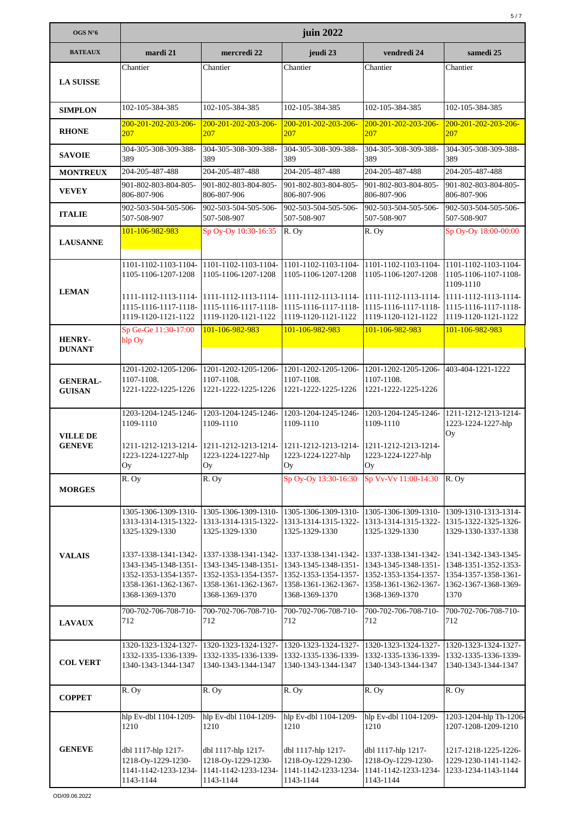| OGS $N^{\circ}6$                 | 5/7<br>juin 2022                                                                                               |                                                                                                                |                                                                                                                |                                                                                                                |                                                                                                      |  |
|----------------------------------|----------------------------------------------------------------------------------------------------------------|----------------------------------------------------------------------------------------------------------------|----------------------------------------------------------------------------------------------------------------|----------------------------------------------------------------------------------------------------------------|------------------------------------------------------------------------------------------------------|--|
| <b>BATEAUX</b>                   | mardi 21                                                                                                       | mercredi 22                                                                                                    | jeudi 23                                                                                                       | vendredi 24                                                                                                    | samedi 25                                                                                            |  |
|                                  | Chantier                                                                                                       | Chantier                                                                                                       | Chantier                                                                                                       | Chantier                                                                                                       | Chantier                                                                                             |  |
| <b>LA SUISSE</b>                 |                                                                                                                |                                                                                                                |                                                                                                                |                                                                                                                |                                                                                                      |  |
| <b>SIMPLON</b>                   | 102-105-384-385                                                                                                | 102-105-384-385                                                                                                | 102-105-384-385                                                                                                | 102-105-384-385                                                                                                | 102-105-384-385                                                                                      |  |
| <b>RHONE</b>                     | 200-201-202-203-206-<br>207                                                                                    | 200-201-202-203-206-<br>207                                                                                    | 200-201-202-203-206-<br>207                                                                                    | 200-201-202-203-206-<br>207                                                                                    | 200-201-202-203-206-<br>207                                                                          |  |
| <b>SAVOIE</b>                    | 304-305-308-309-388-<br>389                                                                                    | 304-305-308-309-388-<br>389                                                                                    | 304-305-308-309-388-<br>389                                                                                    | 304-305-308-309-388-<br>389                                                                                    | 304-305-308-309-388-<br>389                                                                          |  |
| <b>MONTREUX</b>                  | 204-205-487-488                                                                                                | 204-205-487-488                                                                                                | 204-205-487-488                                                                                                | 204-205-487-488                                                                                                | 204-205-487-488                                                                                      |  |
| <b>VEVEY</b>                     | 901-802-803-804-805-<br>806-807-906                                                                            | 901-802-803-804-805-<br>806-807-906                                                                            | 901-802-803-804-805-<br>806-807-906                                                                            | 901-802-803-804-805-<br>806-807-906                                                                            | 901-802-803-804-805-<br>806-807-906                                                                  |  |
| <b>ITALIE</b>                    | 902-503-504-505-506-<br>507-508-907                                                                            | 902-503-504-505-506-<br>507-508-907                                                                            | 902-503-504-505-506-<br>507-508-907                                                                            | 902-503-504-505-506-<br>507-508-907                                                                            | 902-503-504-505-506-<br>507-508-907                                                                  |  |
|                                  | 101-106-982-983                                                                                                | Sp Oy-Oy 10:30-16:35                                                                                           | R. Oy                                                                                                          | R. Ov                                                                                                          | Sp Oy-Oy 18:00-00:00                                                                                 |  |
| <b>LAUSANNE</b>                  |                                                                                                                |                                                                                                                |                                                                                                                |                                                                                                                |                                                                                                      |  |
|                                  | 1101-1102-1103-1104-<br>1105-1106-1207-1208                                                                    | 1101-1102-1103-1104-<br>1105-1106-1207-1208                                                                    | 1101-1102-1103-1104-<br>1105-1106-1207-1208                                                                    | 1101-1102-1103-1104-<br>1105-1106-1207-1208                                                                    | 1101-1102-1103-1104-<br>1105-1106-1107-1108-<br>1109-1110                                            |  |
| <b>LEMAN</b>                     | 1111-1112-1113-1114-<br>1115-1116-1117-1118-<br>1119-1120-1121-1122                                            | 1111-1112-1113-1114-<br>1115-1116-1117-1118-<br>1119-1120-1121-1122                                            | 1111-1112-1113-1114-<br>1115-1116-1117-1118-<br>1119-1120-1121-1122                                            | 1111-1112-1113-1114-<br>1115-1116-1117-1118-<br>1119-1120-1121-1122                                            | 1111-1112-1113-1114-<br>1115-1116-1117-1118-<br>1119-1120-1121-1122                                  |  |
| <b>HENRY-</b>                    | Sp Ge-Ge 11:30-17:00<br>hlp Oy                                                                                 | 101-106-982-983                                                                                                | 101-106-982-983                                                                                                | 101-106-982-983                                                                                                | 101-106-982-983                                                                                      |  |
| <b>DUNANT</b>                    |                                                                                                                |                                                                                                                |                                                                                                                |                                                                                                                |                                                                                                      |  |
|                                  | 1201-1202-1205-1206-                                                                                           | 1201-1202-1205-1206-                                                                                           | 1201-1202-1205-1206- 1201-1202-1205-1206-                                                                      |                                                                                                                | 403-404-1221-1222                                                                                    |  |
| <b>GENERAL-</b><br><b>GUISAN</b> | 1107-1108.<br>1221-1222-1225-1226                                                                              | 1107-1108.<br>1221-1222-1225-1226                                                                              | 1107-1108.<br>1221-1222-1225-1226                                                                              | 1107-1108.<br>1221-1222-1225-1226                                                                              |                                                                                                      |  |
|                                  | 1203-1204-1245-1246-<br>1109-1110                                                                              | 1203-1204-1245-1246-<br>1109-1110                                                                              | 1203-1204-1245-1246-<br>1109-1110                                                                              | 1203-1204-1245-1246-<br>1109-1110                                                                              | 1211-1212-1213-1214-<br>1223-1224-1227-hlp                                                           |  |
| <b>VILLE DE</b><br><b>GENEVE</b> | 1223-1224-1227-hlp                                                                                             | 1211-1212-1213-1214- 1211-1212-1213-1214- 1211-1212-1213-1214- 1211-1212-1213-1214-<br>1223-1224-1227-hlp      | 1223-1224-1227-hlp                                                                                             | 1223-1224-1227-hlp                                                                                             | Oy                                                                                                   |  |
|                                  | Oy<br>R. Oy                                                                                                    | Oy<br>$\overline{R}$ . Oy                                                                                      | Oy<br>Sp Oy-Oy 13:30-16:30                                                                                     | Oy<br>Sp Vv-Vv 11:00-14:30                                                                                     | R. Oy                                                                                                |  |
| <b>MORGES</b>                    |                                                                                                                |                                                                                                                |                                                                                                                |                                                                                                                |                                                                                                      |  |
|                                  | 1305-1306-1309-1310-<br>1313-1314-1315-1322-<br>1325-1329-1330                                                 | 1305-1306-1309-1310-<br>1313-1314-1315-1322-<br>1325-1329-1330                                                 | 1305-1306-1309-1310-<br>1313-1314-1315-1322-<br>1325-1329-1330                                                 | 1305-1306-1309-1310-<br>1313-1314-1315-1322-<br>1325-1329-1330                                                 | 1309-1310-1313-1314-<br>1315-1322-1325-1326-<br>1329-1330-1337-1338                                  |  |
| <b>VALAIS</b>                    | 1337-1338-1341-1342-<br>1343-1345-1348-1351-<br>1352-1353-1354-1357-<br>1358-1361-1362-1367-<br>1368-1369-1370 | 1337-1338-1341-1342-<br>1343-1345-1348-1351-<br>1352-1353-1354-1357-<br>1358-1361-1362-1367-<br>1368-1369-1370 | 1337-1338-1341-1342-<br>1343-1345-1348-1351-<br>1352-1353-1354-1357-<br>1358-1361-1362-1367-<br>1368-1369-1370 | 1337-1338-1341-1342-<br>1343-1345-1348-1351-<br>1352-1353-1354-1357-<br>1358-1361-1362-1367-<br>1368-1369-1370 | 1341-1342-1343-1345-<br>1348-1351-1352-1353-<br>1354-1357-1358-1361-<br>1362-1367-1368-1369-<br>1370 |  |
| <b>LAVAUX</b>                    | 700-702-706-708-710-<br>712                                                                                    | 700-702-706-708-710-<br>712                                                                                    | 700-702-706-708-710-<br>712                                                                                    | 700-702-706-708-710-<br>712                                                                                    | 700-702-706-708-710-<br>712                                                                          |  |
| <b>COL VERT</b>                  | 1320-1323-1324-1327-<br>1332-1335-1336-1339-<br>1340-1343-1344-1347                                            | 1320-1323-1324-1327-<br>1332-1335-1336-1339-<br>1340-1343-1344-1347                                            | 1320-1323-1324-1327-<br>1332-1335-1336-1339-<br>1340-1343-1344-1347                                            | 1320-1323-1324-1327-<br>1332-1335-1336-1339-<br>1340-1343-1344-1347                                            | 1320-1323-1324-1327-<br>1332-1335-1336-1339-<br>1340-1343-1344-1347                                  |  |
| <b>COPPET</b>                    | R. Oy                                                                                                          | R. Oy                                                                                                          | R. Oy                                                                                                          | R. Oy                                                                                                          | R. Oy                                                                                                |  |
|                                  | hlp Ev-dbl 1104-1209-<br>1210                                                                                  | hlp Ev-dbl 1104-1209-<br>1210                                                                                  | hlp Ev-dbl 1104-1209-<br>1210                                                                                  | hlp Ev-dbl 1104-1209-<br>1210                                                                                  | 1203-1204-hlp Th-1206-<br>1207-1208-1209-1210                                                        |  |
| <b>GENEVE</b>                    | dbl 1117-hlp 1217-<br>1218-Oy-1229-1230-<br>1141-1142-1233-1234-<br>1143-1144                                  | dbl 1117-hlp 1217-<br>1218-Oy-1229-1230-<br>1141-1142-1233-1234-<br>1143-1144                                  | dbl 1117-hlp 1217-<br>1218-Oy-1229-1230-<br>1141-1142-1233-1234-<br>1143-1144                                  | dbl 1117-hlp 1217-<br>1218-Oy-1229-1230-<br>1141-1142-1233-1234-<br>1143-1144                                  | 1217-1218-1225-1226-<br>1229-1230-1141-1142-<br>1233-1234-1143-1144                                  |  |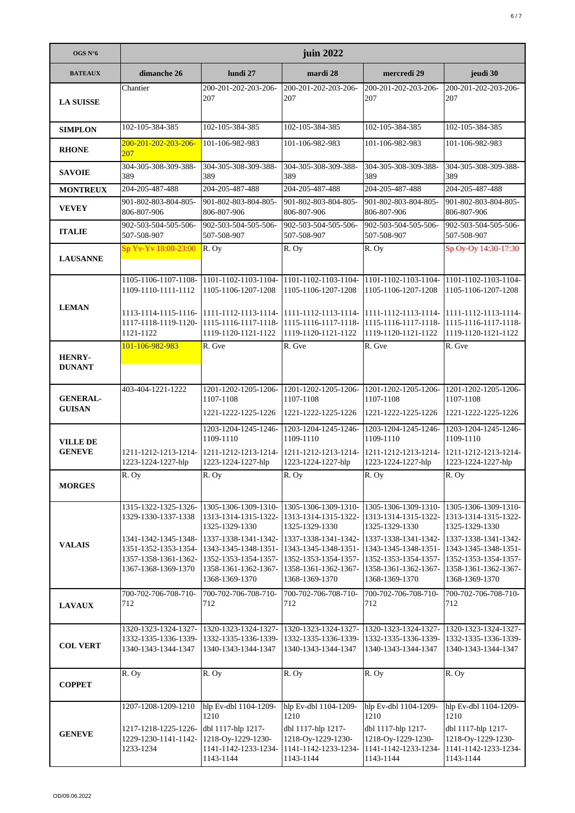| OGS N°6                          | juin 2022                                                                                   |                                                                                                                |                                                                                                                |                                                                                                                |                                                                                                                                                                               |  |
|----------------------------------|---------------------------------------------------------------------------------------------|----------------------------------------------------------------------------------------------------------------|----------------------------------------------------------------------------------------------------------------|----------------------------------------------------------------------------------------------------------------|-------------------------------------------------------------------------------------------------------------------------------------------------------------------------------|--|
| <b>BATEAUX</b>                   | dimanche 26                                                                                 | lundi 27                                                                                                       | mardi 28                                                                                                       | mercredi 29                                                                                                    | jeudi 30                                                                                                                                                                      |  |
| <b>LA SUISSE</b>                 | Chantier                                                                                    | 200-201-202-203-206-<br>207                                                                                    | 200-201-202-203-206-<br>207                                                                                    | 200-201-202-203-206-<br>207                                                                                    | 200-201-202-203-206-<br>207                                                                                                                                                   |  |
| <b>SIMPLON</b>                   | 102-105-384-385                                                                             | 102-105-384-385                                                                                                | 102-105-384-385                                                                                                | 102-105-384-385                                                                                                | 102-105-384-385                                                                                                                                                               |  |
| <b>RHONE</b>                     | 200-201-202-203-206-<br>207                                                                 | 101-106-982-983                                                                                                | 101-106-982-983                                                                                                | 101-106-982-983                                                                                                | 101-106-982-983                                                                                                                                                               |  |
| <b>SAVOIE</b>                    | 304-305-308-309-388-<br>389                                                                 | 304-305-308-309-388-<br>389                                                                                    | 304-305-308-309-388-<br>389                                                                                    | 304-305-308-309-388-<br>389                                                                                    | 304-305-308-309-388-<br>389                                                                                                                                                   |  |
| <b>MONTREUX</b>                  | 204-205-487-488                                                                             | 204-205-487-488                                                                                                | 204-205-487-488                                                                                                | 204-205-487-488                                                                                                | 204-205-487-488                                                                                                                                                               |  |
| <b>VEVEY</b>                     | 901-802-803-804-805-<br>806-807-906                                                         | 901-802-803-804-805-<br>806-807-906                                                                            | 901-802-803-804-805-<br>806-807-906                                                                            | 901-802-803-804-805-<br>806-807-906                                                                            | 901-802-803-804-805-<br>806-807-906                                                                                                                                           |  |
| <b>ITALIE</b>                    | 902-503-504-505-506-<br>507-508-907                                                         | 902-503-504-505-506-<br>507-508-907                                                                            | 902-503-504-505-506-<br>507-508-907                                                                            | 902-503-504-505-506-<br>507-508-907                                                                            | 902-503-504-505-506-<br>507-508-907                                                                                                                                           |  |
| <b>LAUSANNE</b>                  | Sp Yv-Yv 18:00-23:00                                                                        | R. Oy                                                                                                          | R. Oy                                                                                                          | R. Oy                                                                                                          | Sp Oy-Oy 14:30-17:30                                                                                                                                                          |  |
|                                  | 1105-1106-1107-1108-<br>1109-1110-1111-1112                                                 | 1101-1102-1103-1104-<br>1105-1106-1207-1208                                                                    | 1101-1102-1103-1104-<br>1105-1106-1207-1208                                                                    | 1101-1102-1103-1104-<br>1105-1106-1207-1208                                                                    | 1101-1102-1103-1104-<br>1105-1106-1207-1208                                                                                                                                   |  |
| <b>LEMAN</b>                     | 1113-1114-1115-1116- 11111-1112-1113-1114-<br>1117-1118-1119-1120-<br>1121-1122             | 1115-1116-1117-1118-<br>1119-1120-1121-1122                                                                    | 1111-1112-1113-1114-<br>1115-1116-1117-1118-<br>1119-1120-1121-1122                                            | 1115-1116-1117-1118-<br>1119-1120-1121-1122                                                                    | 1111-1112-1113-1114- 11111-1112-1113-1114-<br>1115-1116-1117-1118-<br>1119-1120-1121-1122                                                                                     |  |
| <b>HENRY-</b>                    | 101-106-982-983                                                                             | R. Gve                                                                                                         | R. Gve                                                                                                         | R. Gve                                                                                                         | R. Gve                                                                                                                                                                        |  |
| <b>DUNANT</b>                    |                                                                                             |                                                                                                                |                                                                                                                |                                                                                                                |                                                                                                                                                                               |  |
| <b>GENERAL-</b><br><b>GUISAN</b> | 403-404-1221-1222                                                                           | 1201-1202-1205-1206-<br>1107-1108                                                                              | 1201-1202-1205-1206-<br>1107-1108                                                                              | 1201-1202-1205-1206- 1201-1202-1205-1206-<br>1107-1108                                                         | 1107-1108                                                                                                                                                                     |  |
|                                  |                                                                                             | 1221-1222-1225-1226                                                                                            | 1221-1222-1225-1226                                                                                            | 1221-1222-1225-1226                                                                                            | 1221-1222-1225-1226                                                                                                                                                           |  |
| <b>VILLE DE</b>                  |                                                                                             | 1203-1204-1245-1246-<br>1109-1110                                                                              | 1203-1204-1245-1246-<br>1109-1110                                                                              | 1203-1204-1245-1246-<br>1109-1110                                                                              | 1203-1204-1245-1246-<br>1109-1110                                                                                                                                             |  |
| <b>GENEVE</b>                    | 1211-1212-1213-1214- 1211-1212-1213-1214-<br>1223-1224-1227-hlp                             | 1223-1224-1227-hlp                                                                                             | 1211-1212-1213-1214-<br>1223-1224-1227-hlp                                                                     | 1211-1212-1213-1214-<br>1223-1224-1227-hlp                                                                     | 1211-1212-1213-1214-<br>1223-1224-1227-hlp                                                                                                                                    |  |
| <b>MORGES</b>                    | $\overline{R}$ . Oy                                                                         | R. Oy                                                                                                          | $\overline{R}$ . Oy                                                                                            | $\overline{R}$ . Oy                                                                                            | $\overline{R}$ . Oy                                                                                                                                                           |  |
|                                  | 1315-1322-1325-1326-<br>1329-1330-1337-1338                                                 | 1305-1306-1309-1310-<br>1313-1314-1315-1322-<br>1325-1329-1330                                                 | 1305-1306-1309-1310-<br>1313-1314-1315-1322-<br>1325-1329-1330                                                 | 1305-1306-1309-1310- 1305-1306-1309-1310-<br>1313-1314-1315-1322- 1313-1314-1315-1322-<br>1325-1329-1330       | 1325-1329-1330                                                                                                                                                                |  |
| <b>VALAIS</b>                    | 1341-1342-1345-1348-<br>1351-1352-1353-1354-<br>1357-1358-1361-1362-<br>1367-1368-1369-1370 | 1337-1338-1341-1342-<br>1343-1345-1348-1351-<br>1352-1353-1354-1357-<br>1358-1361-1362-1367-<br>1368-1369-1370 | 1337-1338-1341-1342-<br>1343-1345-1348-1351-<br>1352-1353-1354-1357-<br>1358-1361-1362-1367-<br>1368-1369-1370 | 1337-1338-1341-1342-<br>1368-1369-1370                                                                         | 1337-1338-1341-1342-<br>1343-1345-1348-1351- 1343-1345-1348-1351-<br>1352-1353-1354-1357- 1352-1353-1354-1357-<br>1358-1361-1362-1367- 1358-1361-1362-1367-<br>1368-1369-1370 |  |
| <b>LAVAUX</b>                    | 700-702-706-708-710-<br>712                                                                 | 700-702-706-708-710-<br>712                                                                                    | 700-702-706-708-710-<br>712                                                                                    | 700-702-706-708-710-<br>712                                                                                    | 700-702-706-708-710-<br>712                                                                                                                                                   |  |
| <b>COL VERT</b>                  | 1320-1323-1324-1327-<br>1332-1335-1336-1339-<br>1340-1343-1344-1347                         | 1320-1323-1324-1327-<br>1332-1335-1336-1339-<br>1340-1343-1344-1347                                            | 1320-1323-1324-1327-<br>1332-1335-1336-1339-<br>1340-1343-1344-1347                                            | 1332-1335-1336-1339-<br>1340-1343-1344-1347                                                                    | 1320-1323-1324-1327- 1320-1323-1324-1327-<br>1332-1335-1336-1339-<br>1340-1343-1344-1347                                                                                      |  |
| <b>COPPET</b>                    | R. Oy                                                                                       | R. Oy                                                                                                          | R. Oy                                                                                                          | R. Oy                                                                                                          | R. Oy                                                                                                                                                                         |  |
| <b>GENEVE</b>                    | 1207-1208-1209-1210<br>1217-1218-1225-1226-<br>1229-1230-1141-1142-<br>1233-1234            | hlp Ev-dbl 1104-1209-<br>1210<br>dbl 1117-hlp 1217-<br>1218-Oy-1229-1230-<br>1141-1142-1233-1234-<br>1143-1144 | hlp Ev-dbl 1104-1209-<br>1210<br>dbl 1117-hlp 1217-<br>1218-Oy-1229-1230-<br>1141-1142-1233-1234-<br>1143-1144 | hlp Ev-dbl 1104-1209-<br>1210<br>dbl 1117-hlp 1217-<br>1218-Oy-1229-1230-<br>1141-1142-1233-1234-<br>1143-1144 | hlp Ev-dbl 1104-1209-<br>1210<br>dbl 1117-hlp 1217-<br>1218-Oy-1229-1230-<br>1141-1142-1233-1234-<br>1143-1144                                                                |  |